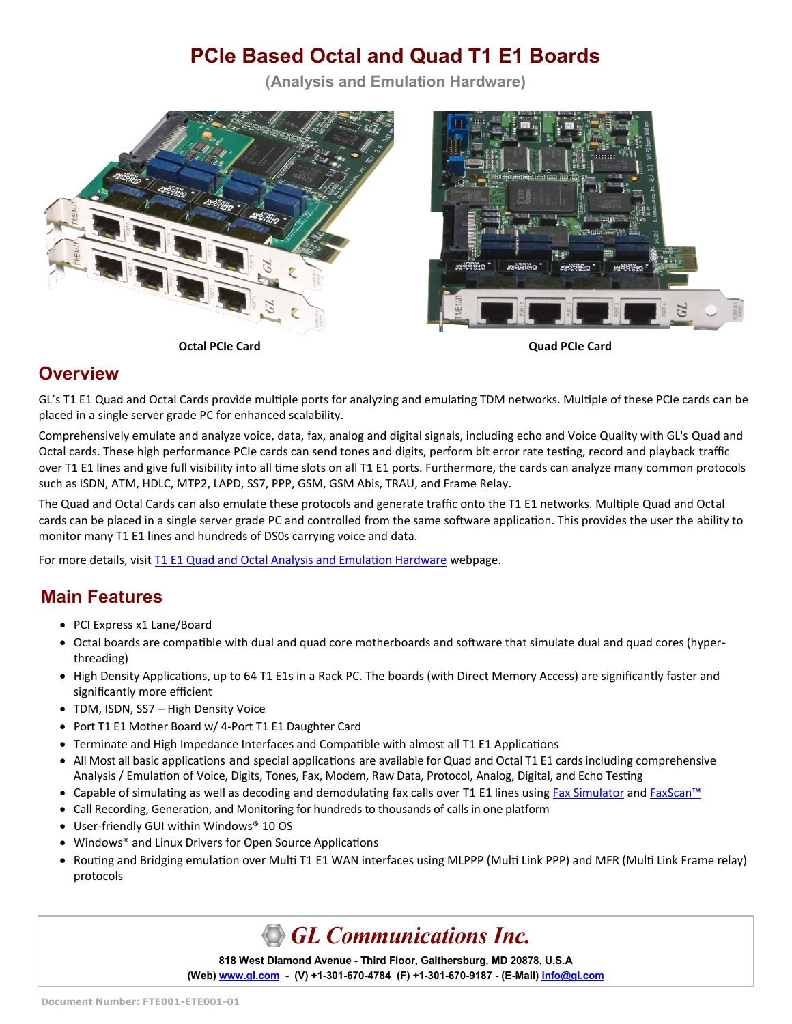# **PCIe Based Octal and Quad T1 E1 Boards**

**(Analysis and Emulation Hardware)**





#### **Overview**

GL's T1 E1 Quad and Octal Cards provide multiple ports for analyzing and emulating TDM networks. Multiple of these PCIe cards can be placed in a single server grade PC for enhanced scalability.

Comprehensively emulate and analyze voice, data, fax, analog and digital signals, including echo and Voice Quality with GL's Quad and Octal cards. These high performance PCIe cards can send tones and digits, perform bit error rate testing, record and playback traffic over T1 E1 lines and give full visibility into all time slots on all T1 E1 ports. Furthermore, the cards can analyze many common protocols such as ISDN, ATM, HDLC, MTP2, LAPD, SS7, PPP, GSM, GSM Abis, TRAU, and Frame Relay.

The Quad and Octal Cards can also emulate these protocols and generate traffic onto the T1 E1 networks. Multiple Quad and Octal cards can be placed in a single server grade PC and controlled from the same software application. This provides the user the ability to monitor many T1 E1 lines and hundreds of DS0s carrying voice and data.

For more details, visit [T1 E1 Quad and Octal Analysis and Emulation Hardware](https://www.gl.com/octal-t1-e1-pcie-boards.html) webpage.

### **Main Features**

- PCI Express x1 Lane/Board
- Octal boards are compatible with dual and quad core motherboards and software that simulate dual and quad cores (hyperthreading)
- High Density Applications, up to 64 T1 E1s in a Rack PC. The boards (with Direct Memory Access) are significantly faster and significantly more efficient
- TDM, ISDN, SS7 High Density Voice
- Port T1 E1 Mother Board w/ 4-Port T1 E1 Daughter Card
- Terminate and High Impedance Interfaces and Compatible with almost all T1 E1 Applications
- All Most all basic applications and special applications are available for Quad and Octal T1 E1 cards including comprehensive Analysis / Emulation of Voice, Digits, Tones, Fax, Modem, Raw Data, Protocol, Analog, Digital, and Echo Testing
- Capable of simulating as well as decoding and demodulating fax calls over T1 E1 lines using [Fax Simulator](https://www.gl.com/wcs-fax-simulation-and-analysis-over-t1-e1.html) and [FaxScan](https://www.gl.com/fax-analysis-over-ip-tdm-pstn.html)<sup>™</sup>
- Call Recording, Generation, and Monitoring for hundreds to thousands of calls in one platform
- User-friendly GUI within Windows® 10 OS
- Windows® and Linux Drivers for Open Source Applications
- Routing and Bridging emulation over Multi T1 E1 WAN interfaces using MLPPP (Multi Link PPP) and MFR (Multi Link Frame relay) protocols

# GL Communications Inc.

**818 West Diamond Avenue - Third Floor, Gaithersburg, MD 20878, U.S.A** (Web) [www.gl.com](https://www.gl.com) - (V) +1-301-670-4784 (F) +1-301-670-9187 - (E-Mail) [info@gl.com](https://www.gl.com/inforequestform.php)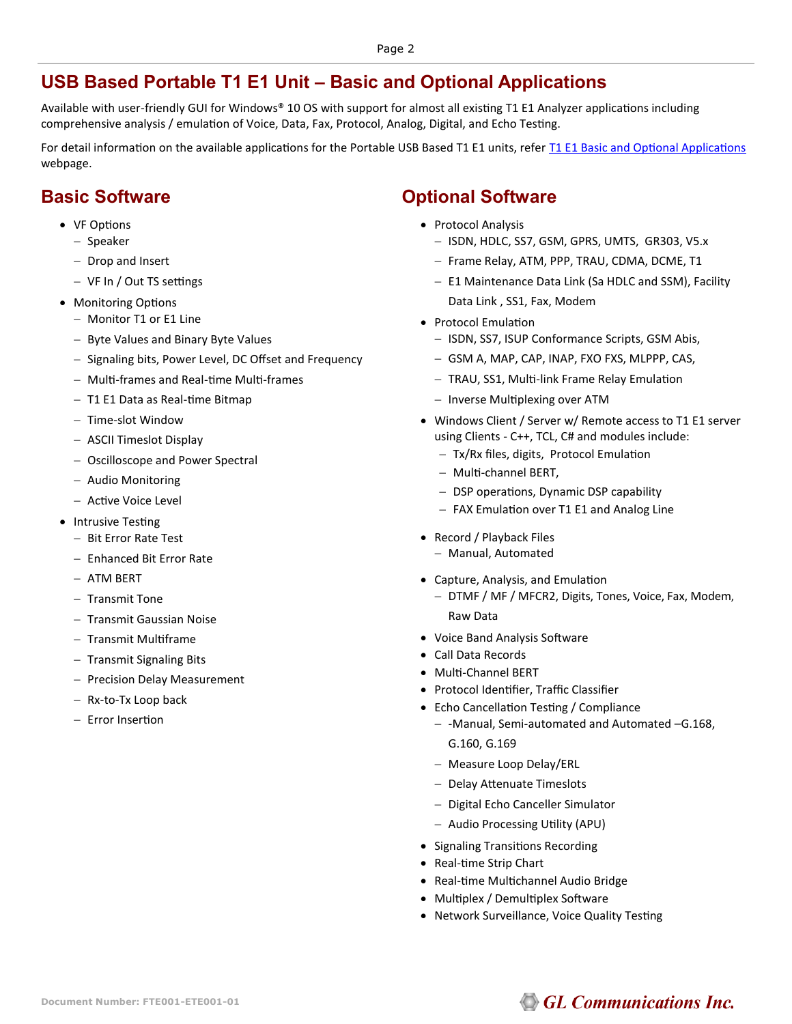#### **USB Based Portable T1 E1 Unit – Basic and Optional Applications**

Available with user-friendly GUI for Windows® 10 OS with support for almost all existing T1 E1 Analyzer applications including comprehensive analysis / emulation of Voice, Data, Fax, Protocol, Analog, Digital, and Echo Testing.

For detail information on the available applications for the Portable USB Based T1 E1 units, refer [T1 E1 Basic and Optional Applications](https://www.gl.com/applications-for-testing-troubleshooting-t1-e1-lines.html) webpage.

#### **Basic Software**

- VF Options
	- − Speaker
	- − Drop and Insert
	- − VF In / Out TS settings
- Monitoring Options
	- − Monitor T1 or E1 Line
	- − Byte Values and Binary Byte Values
	- − Signaling bits, Power Level, DC Offset and Frequency
	- − Multi-frames and Real-time Multi-frames
	- − T1 E1 Data as Real-time Bitmap
	- − Time-slot Window
	- − ASCII Timeslot Display
	- − Oscilloscope and Power Spectral
	- − Audio Monitoring
	- − Active Voice Level
- Intrusive Testing
	- − Bit Error Rate Test
	- − Enhanced Bit Error Rate
	- − ATM BERT
	- − Transmit Tone
	- − Transmit Gaussian Noise
	- − Transmit Multiframe
	- − Transmit Signaling Bits
	- − Precision Delay Measurement
	- − Rx-to-Tx Loop back
	- − Error Insertion

### **Optional Software**

- Protocol Analysis
	- − ISDN, HDLC, SS7, GSM, GPRS, UMTS, GR303, V5.x
	- − Frame Relay, ATM, PPP, TRAU, CDMA, DCME, T1
	- − E1 Maintenance Data Link (Sa HDLC and SSM), Facility Data Link , SS1, Fax, Modem
- Protocol Emulation
	- − ISDN, SS7, ISUP Conformance Scripts, GSM Abis,
	- − GSM A, MAP, CAP, INAP, FXO FXS, MLPPP, CAS,
	- − TRAU, SS1, Multi-link Frame Relay Emulation
	- − Inverse Multiplexing over ATM
- Windows Client / Server w/ Remote access to T1 E1 server using Clients - C++, TCL, C# and modules include:
	- − Tx/Rx files, digits, Protocol Emulation
	- − Multi-channel BERT,
	- − DSP operations, Dynamic DSP capability
	- − FAX Emulation over T1 E1 and Analog Line
- Record / Playback Files
	- − Manual, Automated
- Capture, Analysis, and Emulation
	- − DTMF / MF / MFCR2, Digits, Tones, Voice, Fax, Modem, Raw Data
- Voice Band Analysis Software
- Call Data Records
- Multi-Channel BERT
- Protocol Identifier, Traffic Classifier
- Echo Cancellation Testing / Compliance
	- − -Manual, Semi-automated and Automated –G.168, G.160, G.169
	- − Measure Loop Delay/ERL
	- − Delay Attenuate Timeslots
	- − Digital Echo Canceller Simulator
	- − Audio Processing Utility (APU)
- Signaling Transitions Recording
- Real-time Strip Chart
- Real-time Multichannel Audio Bridge
- Multiplex / Demultiplex Software
- Network Surveillance, Voice Quality Testing

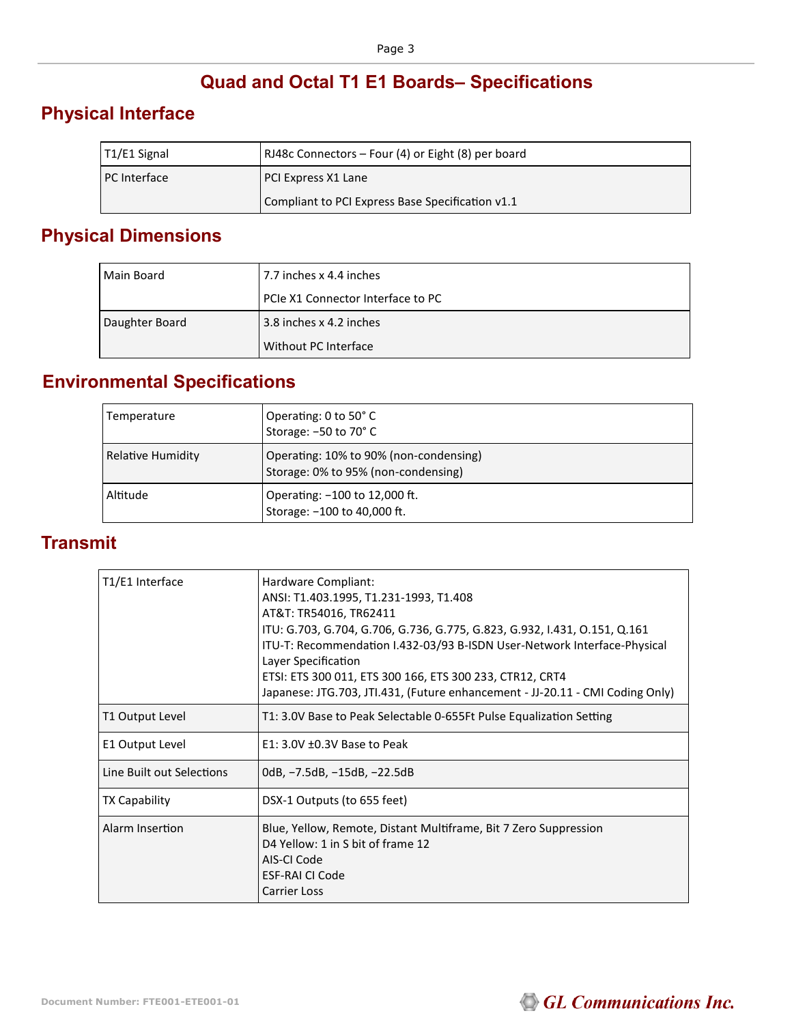# **Quad and Octal T1 E1 Boards– Specifications**

### **Physical Interface**

| T1/E1 Signal        | RJ48c Connectors - Four (4) or Eight (8) per board |
|---------------------|----------------------------------------------------|
| <b>PC</b> Interface | PCI Express X1 Lane                                |
|                     | Compliant to PCI Express Base Specification v1.1   |

# **Physical Dimensions**

| l Main Board   | 7.7 inches x 4.4 inches           |
|----------------|-----------------------------------|
|                | PCIe X1 Connector Interface to PC |
| Daughter Board | 3.8 inches x 4.2 inches           |
|                | Without PC Interface              |

### **Environmental Specifications**

| Temperature              | Operating: 0 to 50° C<br>Storage: -50 to 70° C                                |
|--------------------------|-------------------------------------------------------------------------------|
| <b>Relative Humidity</b> | Operating: 10% to 90% (non-condensing)<br>Storage: 0% to 95% (non-condensing) |
| Altitude                 | Operating: -100 to 12,000 ft.<br>Storage: -100 to 40,000 ft.                  |

### **Transmit**

| T1/E1 Interface           | Hardware Compliant:<br>ANSI: T1.403.1995, T1.231-1993, T1.408<br>AT&T: TR54016, TR62411<br>ITU: G.703, G.704, G.706, G.736, G.775, G.823, G.932, I.431, O.151, Q.161<br>ITU-T: Recommendation I.432-03/93 B-ISDN User-Network Interface-Physical<br>Layer Specification<br>ETSI: ETS 300 011, ETS 300 166, ETS 300 233, CTR12, CRT4<br>Japanese: JTG.703, JTI.431, (Future enhancement - JJ-20.11 - CMI Coding Only) |
|---------------------------|----------------------------------------------------------------------------------------------------------------------------------------------------------------------------------------------------------------------------------------------------------------------------------------------------------------------------------------------------------------------------------------------------------------------|
| T1 Output Level           | T1: 3.0V Base to Peak Selectable 0-655Ft Pulse Equalization Setting                                                                                                                                                                                                                                                                                                                                                  |
| E1 Output Level           | $E1: 3.0V \pm 0.3V$ Base to Peak                                                                                                                                                                                                                                                                                                                                                                                     |
| Line Built out Selections | OdB, -7.5dB, -15dB, -22.5dB                                                                                                                                                                                                                                                                                                                                                                                          |
| <b>TX Capability</b>      | DSX-1 Outputs (to 655 feet)                                                                                                                                                                                                                                                                                                                                                                                          |
| Alarm Insertion           | Blue, Yellow, Remote, Distant Multiframe, Bit 7 Zero Suppression<br>D4 Yellow: 1 in S bit of frame 12<br>AIS-CI Code<br>ESF-RAI CI Code<br>Carrier Loss                                                                                                                                                                                                                                                              |

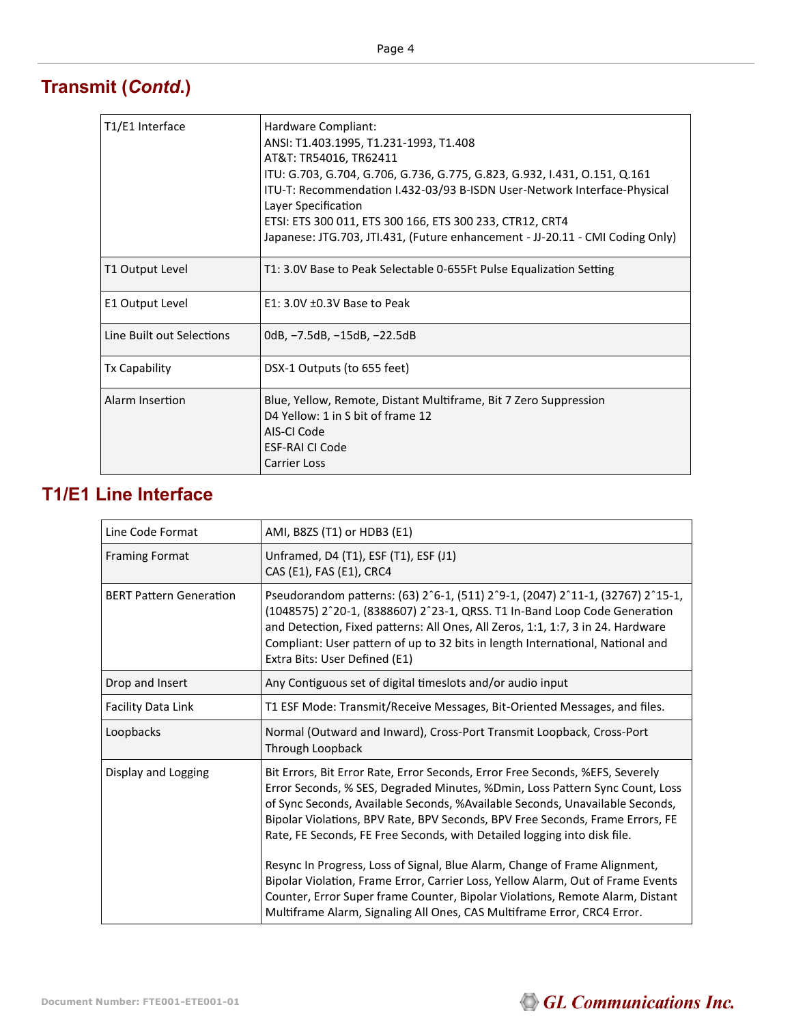# **Transmit (***Contd***.)**

| T1/E1 Interface           | Hardware Compliant:<br>ANSI: T1.403.1995, T1.231-1993, T1.408<br>AT&T: TR54016, TR62411<br>ITU: G.703, G.704, G.706, G.736, G.775, G.823, G.932, I.431, O.151, Q.161<br>ITU-T: Recommendation I.432-03/93 B-ISDN User-Network Interface-Physical<br>Layer Specification<br>ETSI: ETS 300 011, ETS 300 166, ETS 300 233, CTR12, CRT4<br>Japanese: JTG.703, JTI.431, (Future enhancement - JJ-20.11 - CMI Coding Only) |
|---------------------------|----------------------------------------------------------------------------------------------------------------------------------------------------------------------------------------------------------------------------------------------------------------------------------------------------------------------------------------------------------------------------------------------------------------------|
| T1 Output Level           | T1: 3.0V Base to Peak Selectable 0-655Ft Pulse Equalization Setting                                                                                                                                                                                                                                                                                                                                                  |
| E1 Output Level           | $E1: 3.0V \pm 0.3V$ Base to Peak                                                                                                                                                                                                                                                                                                                                                                                     |
| Line Built out Selections | OdB, -7.5dB, -15dB, -22.5dB                                                                                                                                                                                                                                                                                                                                                                                          |
| <b>Tx Capability</b>      | DSX-1 Outputs (to 655 feet)                                                                                                                                                                                                                                                                                                                                                                                          |
| Alarm Insertion           | Blue, Yellow, Remote, Distant Multiframe, Bit 7 Zero Suppression<br>D4 Yellow: 1 in S bit of frame 12<br>AIS-CLCode<br><b>ESF-RAI CI Code</b><br><b>Carrier Loss</b>                                                                                                                                                                                                                                                 |

### **T1/E1 Line Interface**

| Line Code Format               | AMI, B8ZS (T1) or HDB3 (E1)                                                                                                                                                                                                                                                                                                                                                                                                                                                              |
|--------------------------------|------------------------------------------------------------------------------------------------------------------------------------------------------------------------------------------------------------------------------------------------------------------------------------------------------------------------------------------------------------------------------------------------------------------------------------------------------------------------------------------|
| <b>Framing Format</b>          | Unframed, D4 (T1), ESF (T1), ESF (J1)<br>CAS (E1), FAS (E1), CRC4                                                                                                                                                                                                                                                                                                                                                                                                                        |
| <b>BERT Pattern Generation</b> | Pseudorandom patterns: (63) 2^6-1, (511) 2^9-1, (2047) 2^11-1, (32767) 2^15-1,<br>(1048575) 2^20-1, (8388607) 2^23-1, QRSS. T1 In-Band Loop Code Generation<br>and Detection, Fixed patterns: All Ones, All Zeros, 1:1, 1:7, 3 in 24. Hardware<br>Compliant: User pattern of up to 32 bits in length International, National and<br>Extra Bits: User Defined (E1)                                                                                                                        |
| Drop and Insert                | Any Contiguous set of digital timeslots and/or audio input                                                                                                                                                                                                                                                                                                                                                                                                                               |
| Facility Data Link             | T1 ESF Mode: Transmit/Receive Messages, Bit-Oriented Messages, and files.                                                                                                                                                                                                                                                                                                                                                                                                                |
| Loopbacks                      | Normal (Outward and Inward), Cross-Port Transmit Loopback, Cross-Port<br>Through Loopback                                                                                                                                                                                                                                                                                                                                                                                                |
| Display and Logging            | Bit Errors, Bit Error Rate, Error Seconds, Error Free Seconds, %EFS, Severely<br>Error Seconds, % SES, Degraded Minutes, %Dmin, Loss Pattern Sync Count, Loss<br>of Sync Seconds, Available Seconds, %Available Seconds, Unavailable Seconds,<br>Bipolar Violations, BPV Rate, BPV Seconds, BPV Free Seconds, Frame Errors, FE<br>Rate, FE Seconds, FE Free Seconds, with Detailed logging into disk file.<br>Resync In Progress, Loss of Signal, Blue Alarm, Change of Frame Alignment, |
|                                | Bipolar Violation, Frame Error, Carrier Loss, Yellow Alarm, Out of Frame Events<br>Counter, Error Super frame Counter, Bipolar Violations, Remote Alarm, Distant<br>Multiframe Alarm, Signaling All Ones, CAS Multiframe Error, CRC4 Error.                                                                                                                                                                                                                                              |

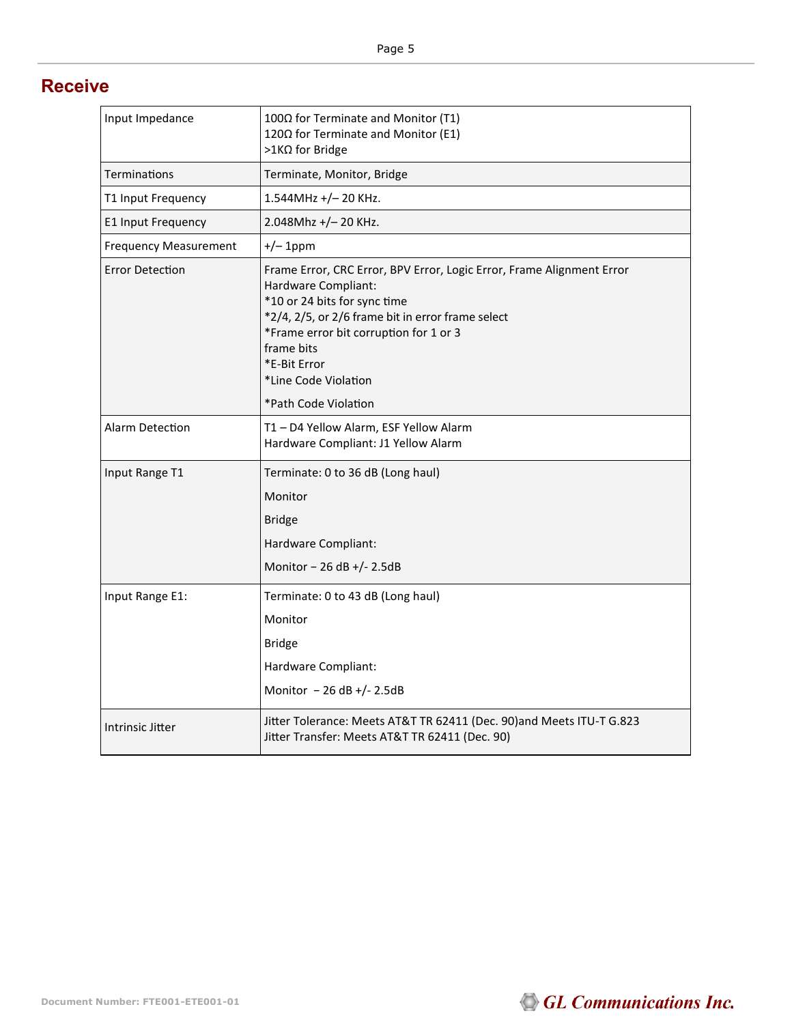#### **Receive**

| Input Impedance              | 100Ω for Terminate and Monitor (T1)<br>120Ω for Terminate and Monitor (E1)<br>>1KΩ for Bridge                                                                                                                                                                                     |
|------------------------------|-----------------------------------------------------------------------------------------------------------------------------------------------------------------------------------------------------------------------------------------------------------------------------------|
| Terminations                 | Terminate, Monitor, Bridge                                                                                                                                                                                                                                                        |
| T1 Input Frequency           | 1.544MHz +/-20 KHz.                                                                                                                                                                                                                                                               |
| E1 Input Frequency           | 2.048Mhz +/- 20 KHz.                                                                                                                                                                                                                                                              |
| <b>Frequency Measurement</b> | $+/- 1$ ppm                                                                                                                                                                                                                                                                       |
| <b>Error Detection</b>       | Frame Error, CRC Error, BPV Error, Logic Error, Frame Alignment Error<br>Hardware Compliant:<br>*10 or 24 bits for sync time<br>*2/4, 2/5, or 2/6 frame bit in error frame select<br>*Frame error bit corruption for 1 or 3<br>frame bits<br>*E-Bit Error<br>*Line Code Violation |
|                              | *Path Code Violation                                                                                                                                                                                                                                                              |
| <b>Alarm Detection</b>       | T1 - D4 Yellow Alarm, ESF Yellow Alarm<br>Hardware Compliant: J1 Yellow Alarm                                                                                                                                                                                                     |
| Input Range T1               | Terminate: 0 to 36 dB (Long haul)                                                                                                                                                                                                                                                 |
|                              | Monitor                                                                                                                                                                                                                                                                           |
|                              | <b>Bridge</b>                                                                                                                                                                                                                                                                     |
|                              | Hardware Compliant:                                                                                                                                                                                                                                                               |
|                              | Monitor - 26 dB +/- 2.5dB                                                                                                                                                                                                                                                         |
| Input Range E1:              | Terminate: 0 to 43 dB (Long haul)                                                                                                                                                                                                                                                 |
|                              | Monitor                                                                                                                                                                                                                                                                           |
|                              | <b>Bridge</b>                                                                                                                                                                                                                                                                     |
|                              | Hardware Compliant:                                                                                                                                                                                                                                                               |
|                              | Monitor $-26$ dB +/- 2.5dB                                                                                                                                                                                                                                                        |
| Intrinsic Jitter             | Jitter Tolerance: Meets AT&T TR 62411 (Dec. 90)and Meets ITU-T G.823<br>Jitter Transfer: Meets AT&T TR 62411 (Dec. 90)                                                                                                                                                            |

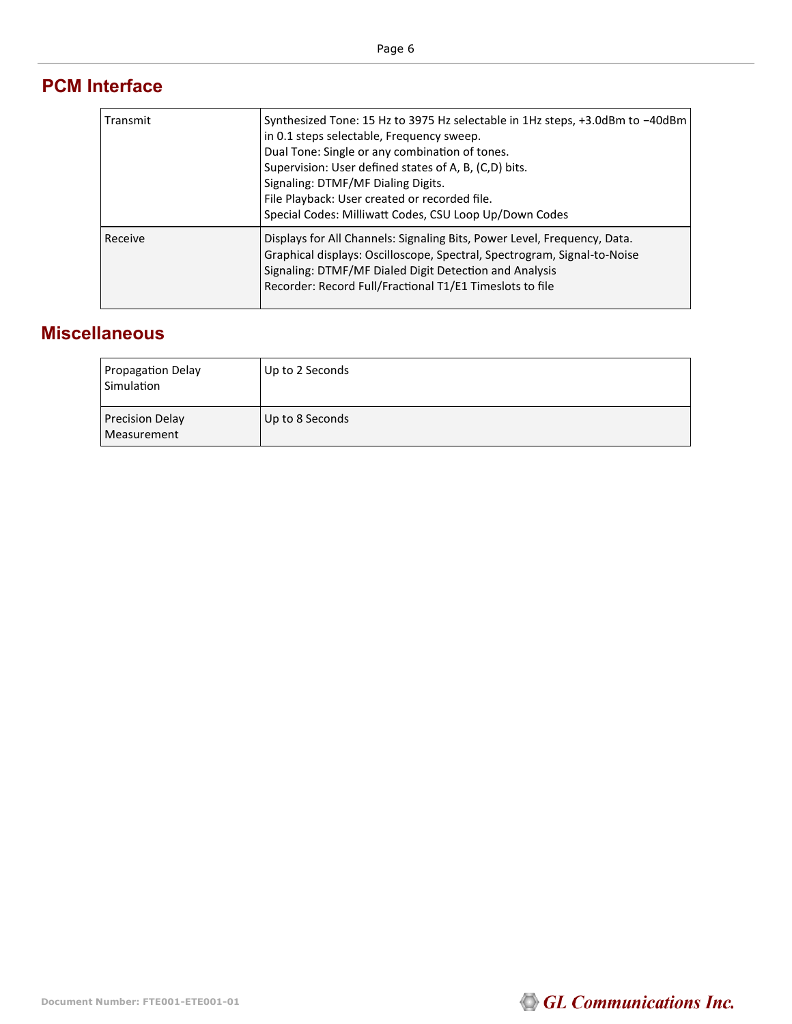### **PCM Interface**

| Transmit | Synthesized Tone: 15 Hz to 3975 Hz selectable in 1Hz steps, +3.0dBm to -40dBm<br>in 0.1 steps selectable, Frequency sweep.<br>Dual Tone: Single or any combination of tones.<br>Supervision: User defined states of A, B, (C,D) bits.<br>Signaling: DTMF/MF Dialing Digits.<br>File Playback: User created or recorded file.<br>Special Codes: Milliwatt Codes, CSU Loop Up/Down Codes |
|----------|----------------------------------------------------------------------------------------------------------------------------------------------------------------------------------------------------------------------------------------------------------------------------------------------------------------------------------------------------------------------------------------|
| Receive  | Displays for All Channels: Signaling Bits, Power Level, Frequency, Data.<br>Graphical displays: Oscilloscope, Spectral, Spectrogram, Signal-to-Noise<br>Signaling: DTMF/MF Dialed Digit Detection and Analysis<br>Recorder: Record Full/Fractional T1/E1 Timeslots to file                                                                                                             |

### **Miscellaneous**

| <b>Propagation Delay</b><br>Simulation | Up to 2 Seconds |
|----------------------------------------|-----------------|
| <b>Precision Delay</b><br>Measurement  | Up to 8 Seconds |